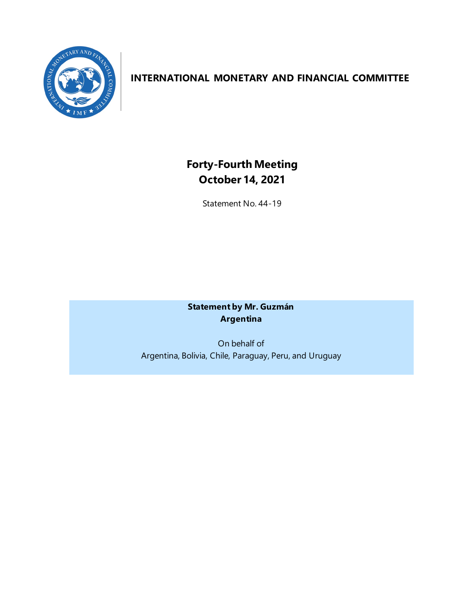

# **INTERNATIONAL MONETARY AND FINANCIAL COMMITTEE**

# **Forty-Fourth Meeting October 14, 2021**

Statement No. 44-19

**Statement by Mr. Guzmán Argentina**

On behalf of Argentina, Bolivia, Chile, Paraguay, Peru, and Uruguay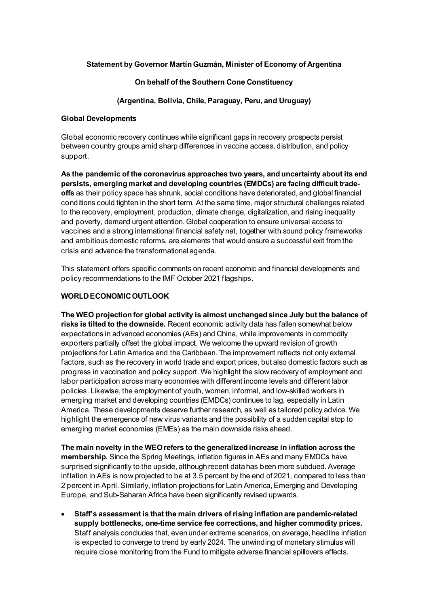#### **Statement by Governor Martín Guzmán, Minister of Economy of Argentina**

#### **On behalf of the Southern Cone Constituency**

#### **(Argentina, Bolivia, Chile, Paraguay, Peru, and Uruguay)**

#### **Global Developments**

Global economic recovery continues while significant gaps in recovery prospects persist between country groups amid sharp differences in vaccine access, distribution, and policy support.

**As the pandemic of the coronavirus approaches two years, and uncertainty about its end persists, emerging market and developing countries (EMDCs) are facing difficult tradeoffs** as their policy space has shrunk, social conditions have deteriorated, and global financial conditions could tighten in the short term. At the same time, major structural challenges related to the recovery, employment, production, climate change, digitalization, and rising inequality and poverty, demand urgent attention. Global cooperation to ensure universal access to vaccines and a strong international financial safety net, together with sound policy frameworks and ambitious domestic reforms, are elements that would ensure a successful exit from the crisis and advance the transformational agenda.

This statement offers specific comments on recent economic and financial developments and policy recommendations to the IMF October 2021 flagships.

#### **WORLDECONOMICOUTLOOK**

**The WEO projection for global activity is almost unchanged since July but the balance of risks is tilted to the downside.** Recent economic activity data has fallen somewhat below expectations in advanced economies (AEs) and China, while improvements in commodity exporters partially offset the global impact. We welcome the upward revision of growth projections for Latin America and the Caribbean. The improvement reflects not only external factors, such as the recovery in world trade and export prices, but also domestic factors such as progress in vaccination and policy support. We highlight the slow recovery of employment and labor participation across many economies with different income levels and different labor policies. Likewise, the employment of youth, women, informal, and low-skilled workers in emerging market and developing countries (EMDCs) continues to lag, especially in Latin America. These developments deserve further research, as well as tailored policy advice. We highlight the emergence of new virus variants and the possibility of a sudden capital stop to emerging market economies (EMEs) as the main downside risks ahead.

**The main novelty in the WEO refers to the generalized increase in inflation across the membership.** Since the Spring Meetings, inflation figures in AEs and many EMDCs have surprised significantly to the upside, although recent data has been more subdued. Average inflation in AEs is now projected to be at 3.5 percent by the end of 2021, compared to less than 2 percent in April. Similarly, inflation projections for Latin America, Emerging and Developing Europe, and Sub-Saharan Africa have been significantly revised upwards.

• **Staff's assessment is that the main drivers of rising inflation are pandemic-related supply bottlenecks, one-time service fee corrections, and higher commodity prices.** Staff analysis concludes that, even under extreme scenarios, on average, headline inflation is expected to converge to trend by early 2024. The unwinding of monetary stimulus will require close monitoring from the Fund to mitigate adverse financial spillovers effects.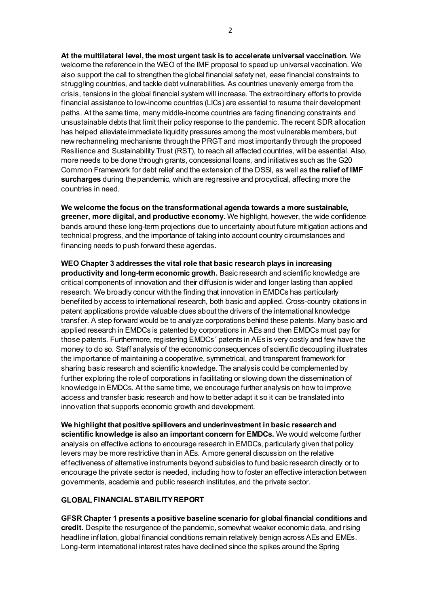**At the multilateral level, the most urgent task is to accelerate universal vaccination.** We welcome the reference in the WEO of the IMF proposal to speed up universal vaccination. We also support the call to strengthen the global financial safety net, ease financial constraints to struggling countries, and tackle debt vulnerabilities. As countries unevenly emerge from the crisis, tensions in the global financial system will increase. The extraordinary efforts to provide financial assistance to low-income countries (LICs) are essential to resume their development paths. At the same time, many middle-income countries are facing financing constraints and unsustainable debts that limit their policy response to the pandemic. The recent SDR allocation has helped alleviate immediate liquidity pressures among the most vulnerable members, but new rechanneling mechanisms through the PRGT and most importantly through the proposed Resilience and Sustainability Trust (RST), to reach all affected countries, will be essential. Also, more needs to be done through grants, concessional loans, and initiatives such as the G20 Common Framework for debt relief and the extension of the DSSI, as well as **the relief of IMF surcharges** during the pandemic, which are regressive and procyclical, affecting more the countries in need.

**We welcome the focus on the transformational agenda towards a more sustainable, greener, more digital, and productive economy.** We highlight, however, the wide confidence bands around these long-term projections due to uncertainty about future mitigation actions and technical progress, and the importance of taking into account country circumstances and financing needs to push forward these agendas.

**WEO Chapter 3 addresses the vital role that basic research plays in increasing productivity and long-term economic growth.** Basic research and scientific knowledge are critical components of innovation and their diffusion is wider and longer lasting than applied research. We broadly concur with the finding that innovation in EMDCs has particularly benefited by access to international research, both basic and applied. Cross-country citations in patent applications provide valuable clues about the drivers of the international knowledge transfer. A step forward would be to analyze corporations behind these patents. Many basic and applied research in EMDCs is patented by corporations in AEs and then EMDCs must pay for those patents. Furthermore, registering EMDCs´ patents in AEs is very costly and few have the money to do so. Staff analysis of the economic consequences of scientific decoupling illustrates the importance of maintaining a cooperative, symmetrical, and transparent framework for sharing basic research and scientific knowledge. The analysis could be complemented by further exploring the role of corporations in facilitating or slowing down the dissemination of knowledge in EMDCs. At the same time, we encourage further analysis on how to improve access and transfer basic research and how to better adapt it so it can be translated into innovation that supports economic growth and development.

**We highlight that positive spillovers and underinvestment in basic research and scientific knowledge is also an important concern for EMDCs.** We would welcome further analysis on effective actions to encourage research in EMDCs, particularly given that policy levers may be more restrictive than in AEs. A more general discussion on the relative effectiveness of alternative instruments beyond subsidies to fund basic research directly or to encourage the private sector is needed, including how to foster an effective interaction between governments, academia and public research institutes, and the private sector.

#### **GLOBAL FINANCIALSTABILITYREPORT**

**GFSR Chapter 1 presents a positive baseline scenario for global financial conditions and credit.** Despite the resurgence of the pandemic, somewhat weaker economic data, and rising headline inflation, global financial conditions remain relatively benign across AEs and EMEs. Long-term international interest rates have declined since the spikes around the Spring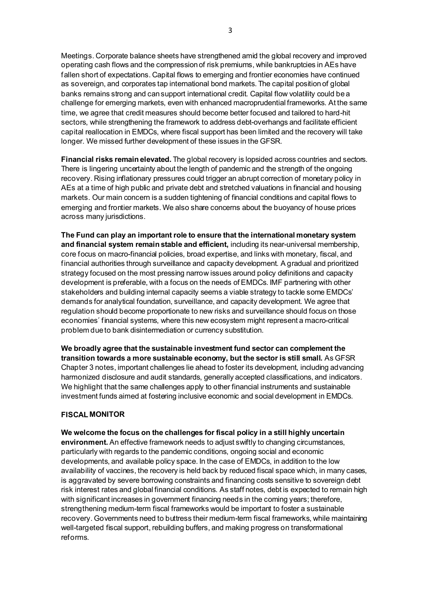Meetings. Corporate balance sheets have strengthened amid the global recovery and improved operating cash flows and the compression of risk premiums, while bankruptcies in AEs have fallen short of expectations. Capital flows to emerging and frontier economies have continued as sovereign, and corporates tap international bond markets. The capital position of global banks remains strong and can support international credit. Capital flow volatility could be a challenge for emerging markets, even with enhanced macroprudential frameworks. At the same time, we agree that credit measures should become better focused and tailored to hard-hit sectors, while strengthening the framework to address debt-overhangs and facilitate efficient capital reallocation in EMDCs, where fiscal support has been limited and the recovery will take longer. We missed further development of these issues in the GFSR.

**Financial risks remain elevated.** The global recovery is lopsided across countries and sectors. There is lingering uncertainty about the length of pandemic and the strength of the ongoing recovery. Rising inflationary pressures could trigger an abrupt correction of monetary policy in AEs at a time of high public and private debt and stretched valuations in financial and housing markets. Our main concern is a sudden tightening of financial conditions and capital flows to emerging and frontier markets. We also share concerns about the buoyancy of house prices across many jurisdictions.

**The Fund can play an important role to ensure that the international monetary system and financial system remain stable and efficient,** including its near-universal membership, core focus on macro-financial policies, broad expertise, and links with monetary, fiscal, and financial authorities through surveillance and capacity development. A gradual and prioritized strategy focused on the most pressing narrow issues around policy definitions and capacity development is preferable, with a focus on the needs of EMDCs. IMF partnering with other stakeholders and building internal capacity seems a viable strategy to tackle some EMDCs' demands for analytical foundation, surveillance, and capacity development. We agree that regulation should become proportionate to new risks and surveillance should focus on those economies´ financial systems, where this new ecosystem might represent a macro-critical problem due to bank disintermediation or currency substitution.

**We broadly agree that the sustainable investment fund sector can complement the transition towards a more sustainable economy, but the sector is still small.** As GFSR Chapter 3 notes, important challenges lie ahead to foster its development, including advancing harmonized disclosure and audit standards, generally accepted classifications, and indicators. We highlight that the same challenges apply to other financial instruments and sustainable investment funds aimed at fostering inclusive economic and social development in EMDCs.

#### **FISCAL MONITOR**

**We welcome the focus on the challenges for fiscal policy in a still highly uncertain environment.** An effective framework needs to adjust swiftly to changing circumstances, particularly with regards to the pandemic conditions, ongoing social and economic developments, and available policy space. In the case of EMDCs, in addition to the low availability of vaccines, the recovery is held back by reduced fiscal space which, in many cases, is aggravated by severe borrowing constraints and financing costs sensitive to sovereign debt risk interest rates and global financial conditions. As staff notes, debt is expected to remain high with significant increases in government financing needs in the coming years; therefore, strengthening medium-term fiscal frameworks would be important to foster a sustainable recovery. Governments need to buttress their medium-term fiscal frameworks, while maintaining well-targeted fiscal support, rebuilding buffers, and making progress on transformational reforms.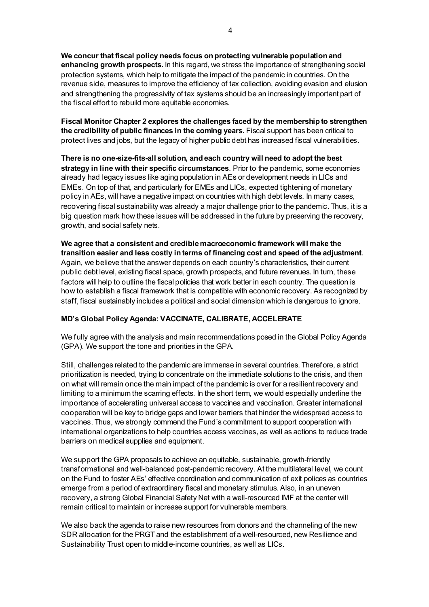**We concur that fiscal policy needs focus on protecting vulnerable population and enhancing growth prospects.** In this regard, we stress the importance of strengthening social protection systems, which help to mitigate the impact of the pandemic in countries. On the revenue side, measures to improve the efficiency of tax collection, avoiding evasion and elusion and strengthening the progressivity of tax systems should be an increasingly important part of the fiscal effort to rebuild more equitable economies.

**Fiscal Monitor Chapter 2 explores the challenges faced by the membership to strengthen the credibility of public finances in the coming years.** Fiscal support has been critical to protect lives and jobs, but the legacy of higher public debt has increased fiscal vulnerabilities.

**There is no one-size-fits-all solution, and each country will need to adopt the best strategy in line with their specific circumstances**. Prior to the pandemic, some economies already had legacy issues like aging population in AEs or development needs in LICs and EMEs. On top of that, and particularly for EMEs and LICs, expected tightening of monetary policy in AEs, will have a negative impact on countries with high debt levels. In many cases, recovering fiscal sustainability was already a major challenge prior to the pandemic. Thus, it is a big question mark how these issues will be addressed in the future by preserving the recovery, growth, and social safety nets.

**We agree that a consistent and credible macroeconomic framework will make the transition easier and less costly in terms of financing cost and speed of the adjustment**. Again, we believe that the answer depends on each country's characteristics, their current public debt level, existing fiscal space, growth prospects, and future revenues. In turn, these factors will help to outline the fiscal policies that work better in each country. The question is how to establish a fiscal framework that is compatible with economic recovery. As recognized by staff, fiscal sustainably includes a political and social dimension which is dangerous to ignore.

# **MD's Global Policy Agenda: VACCINATE, CALIBRATE, ACCELERATE**

We fully agree with the analysis and main recommendations posed in the Global Policy Agenda (GPA). We support the tone and priorities in the GPA.

Still, challenges related to the pandemic are immense in several countries. Therefore, a strict prioritization is needed, trying to concentrate on the immediate solutions to the crisis, and then on what will remain once the main impact of the pandemic is over for a resilient recovery and limiting to a minimum the scarring effects. In the short term, we would especially underline the importance of accelerating universal access to vaccines and vaccination. Greater international cooperation will be key to bridge gaps and lower barriers that hinder the widespread access to vaccines. Thus, we strongly commend the Fund´s commitment to support cooperation with international organizations to help countries access vaccines, as well as actions to reduce trade barriers on medical supplies and equipment.

We support the GPA proposals to achieve an equitable, sustainable, growth-friendly transformational and well-balanced post-pandemic recovery. At the multilateral level, we count on the Fund to foster AEs' effective coordination and communication of exit polices as countries emerge from a period of extraordinary fiscal and monetary stimulus. Also, in an uneven recovery, a strong Global Financial Safety Net with a well-resourced IMF at the center will remain critical to maintain or increase support for vulnerable members.

We also back the agenda to raise new resources from donors and the channeling of the new SDR allocation for the PRGT and the establishment of a well-resourced, new Resilience and Sustainability Trust open to middle-income countries, as well as LICs.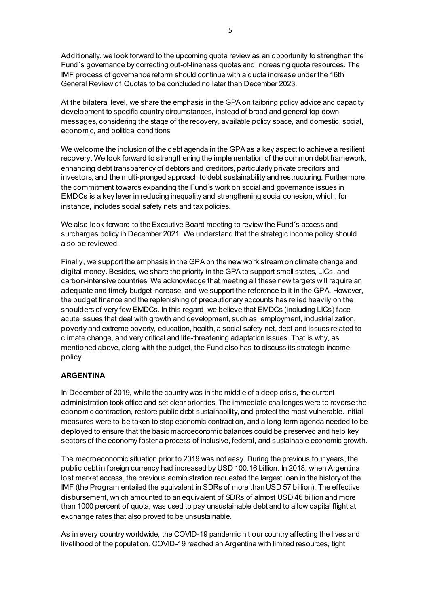Additionally, we look forward to the upcoming quota review as an opportunity to strengthen the Fund´s governance by correcting out-of-lineness quotas and increasing quota resources. The IMF process of governance reform should continue with a quota increase under the 16th General Review of Quotas to be concluded no later than December 2023.

At the bilateral level, we share the emphasis in the GPA on tailoring policy advice and capacity development to specific country circumstances, instead of broad and general top-down messages, considering the stage of the recovery, available policy space, and domestic, social, economic, and political conditions.

We welcome the inclusion of the debt agenda in the GPA as a key aspect to achieve a resilient recovery. We look forward to strengthening the implementation of the common debt framework, enhancing debt transparency of debtors and creditors, particularly private creditors and investors, and the multi-pronged approach to debt sustainability and restructuring. Furthermore, the commitment towards expanding the Fund´s work on social and governance issues in EMDCs is a key lever in reducing inequality and strengthening social cohesion, which, for instance, includes social safety nets and tax policies.

We also look forward to the Executive Board meeting to review the Fund´s access and surcharges policy in December 2021. We understand that the strategic income policy should also be reviewed.

Finally, we support the emphasis in the GPA on the new work stream on climate change and digital money. Besides, we share the priority in the GPA to support small states, LICs, and carbon-intensive countries. We acknowledge that meeting all these new targets will require an adequate and timely budget increase, and we support the reference to it in the GPA. However, the budget finance and the replenishing of precautionary accounts has relied heavily on the shoulders of very few EMDCs. In this regard, we believe that EMDCs (including LICs) face acute issues that deal with growth and development, such as, employment, industrialization, poverty and extreme poverty, education, health, a social safety net, debt and issues related to climate change, and very critical and life-threatening adaptation issues. That is why, as mentioned above, along with the budget, the Fund also has to discuss its strategic income policy.

# **ARGENTINA**

In December of 2019, while the country was in the middle of a deep crisis, the current administration took office and set clear priorities. The immediate challenges were to reverse the economic contraction, restore public debt sustainability, and protect the most vulnerable. Initial measures were to be taken to stop economic contraction, and a long-term agenda needed to be deployed to ensure that the basic macroeconomic balances could be preserved and help key sectors of the economy foster a process of inclusive, federal, and sustainable economic growth.

The macroeconomic situation prior to 2019 was not easy. During the previous four years, the public debt in foreign currency had increased by USD 100.16 billion. In 2018, when Argentina lost market access, the previous administration requested the largest loan in the history of the IMF (the Program entailed the equivalent in SDRs of more than USD 57 billion). The effective disbursement, which amounted to an equivalent of SDRs of almost USD 46 billion and more than 1000 percent of quota, was used to pay unsustainable debt and to allow capital flight at exchange rates that also proved to be unsustainable.

As in every country worldwide, the COVID-19 pandemic hit our country affecting the lives and livelihood of the population. COVID-19 reached an Argentina with limited resources, tight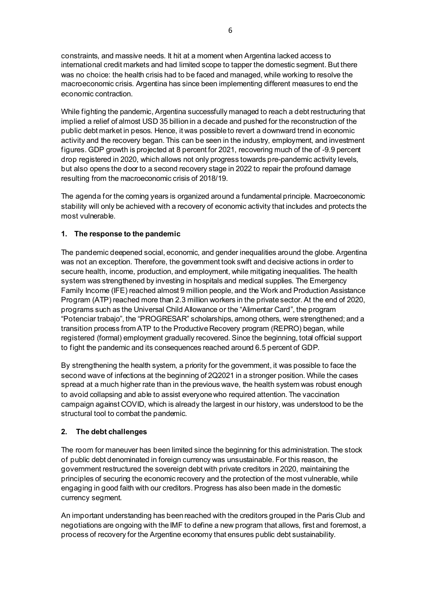constraints, and massive needs. It hit at a moment when Argentina lacked access to international credit markets and had limited scope to tapper the domestic segment. But there was no choice: the health crisis had to be faced and managed, while working to resolve the macroeconomic crisis. Argentina has since been implementing different measures to end the economic contraction.

While fighting the pandemic, Argentina successfully managed to reach a debt restructuring that implied a relief of almost USD 35 billion in a decade and pushed for the reconstruction of the public debt market in pesos. Hence, it was possible to revert a downward trend in economic activity and the recovery began. This can be seen in the industry, employment, and investment figures. GDP growth is projected at 8 percent for 2021, recovering much of the of -9.9 percent drop registered in 2020, which allows not only progress towards pre-pandemic activity levels, but also opens the door to a second recovery stage in 2022 to repair the profound damage resulting from the macroeconomic crisis of 2018/19.

The agenda for the coming years is organized around a fundamental principle. Macroeconomic stability will only be achieved with a recovery of economic activity that includes and protects the most vulnerable.

# **1. The response to the pandemic**

The pandemic deepened social, economic, and gender inequalities around the globe. Argentina was not an exception. Therefore, the government took swift and decisive actions in order to secure health, income, production, and employment, while mitigating inequalities. The health system was strengthened by investing in hospitals and medical supplies. The Emergency Family Income (IFE) reached almost 9 million people, and the Work and Production Assistance Program (ATP) reached more than 2.3 million workers in the private sector. At the end of 2020, programs such as the Universal Child Allowance or the "Alimentar Card", the program "Potenciar trabajo", the "PROGRESAR" scholarships, among others, were strengthened; and a transition process from ATP to the Productive Recovery program (REPRO) began, while registered (formal) employment gradually recovered. Since the beginning, total official support to fight the pandemic and its consequences reached around 6.5 percent of GDP.

By strengthening the health system, a priority for the government, it was possible to face the second wave of infections at the beginning of 2Q2021 in a stronger position. While the cases spread at a much higher rate than in the previous wave, the health system was robust enough to avoid collapsing and able to assist everyone who required attention. The vaccination campaign against COVID, which is already the largest in our history, was understood to be the structural tool to combat the pandemic.

#### **2. The debt challenges**

The room for maneuver has been limited since the beginning for this administration. The stock of public debt denominated in foreign currency was unsustainable. For this reason, the government restructured the sovereign debt with private creditors in 2020, maintaining the principles of securing the economic recovery and the protection of the most vulnerable, while engaging in good faith with our creditors. Progress has also been made in the domestic currency segment.

An important understanding has been reached with the creditors grouped in the Paris Club and negotiations are ongoing with the IMF to define a new program that allows, first and foremost, a process of recovery for the Argentine economy that ensures public debt sustainability.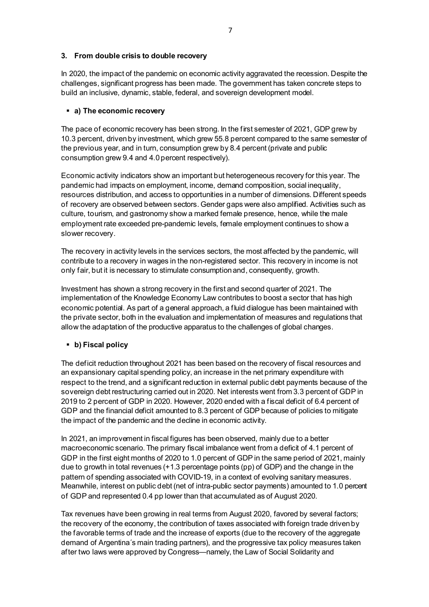#### **3. From double crisis to double recovery**

In 2020, the impact of the pandemic on economic activity aggravated the recession. Despite the challenges, significant progress has been made. The government has taken concrete steps to build an inclusive, dynamic, stable, federal, and sovereign development model.

### **a) The economic recovery**

The pace of economic recovery has been strong. In the first semester of 2021, GDP grew by 10.3 percent, driven by investment, which grew 55.8 percent compared to the same semester of the previous year, and in turn, consumption grew by 8.4 percent (private and public consumption grew 9.4 and 4.0 percent respectively).

Economic activity indicators show an important but heterogeneous recovery for this year. The pandemic had impacts on employment, income, demand composition, social inequality, resources distribution, and access to opportunities in a number of dimensions. Different speeds of recovery are observed between sectors. Gender gaps were also amplified. Activities such as culture, tourism, and gastronomy show a marked female presence, hence, while the male employment rate exceeded pre-pandemic levels, female employment continues to show a slower recovery.

The recovery in activity levels in the services sectors, the most affected by the pandemic, will contribute to a recovery in wages in the non-registered sector. This recovery in income is not only fair, but it is necessary to stimulate consumption and, consequently, growth.

Investment has shown a strong recovery in the first and second quarter of 2021. The implementation of the Knowledge Economy Law contributes to boost a sector that has high economic potential. As part of a general approach, a fluid dialogue has been maintained with the private sector, both in the evaluation and implementation of measures and regulations that allow the adaptation of the productive apparatus to the challenges of global changes.

# **b) Fiscal policy**

The deficit reduction throughout 2021 has been based on the recovery of fiscal resources and an expansionary capital spending policy, an increase in the net primary expenditure with respect to the trend, and a significant reduction in external public debt payments because of the sovereign debt restructuring carried out in 2020. Net interests went from 3.3 percent of GDP in 2019 to 2 percent of GDP in 2020. However, 2020 ended with a fiscal deficit of 6.4 percent of GDP and the financial deficit amounted to 8.3 percent of GDP because of policies to mitigate the impact of the pandemic and the decline in economic activity.

In 2021, an improvement in fiscal figures has been observed, mainly due to a better macroeconomic scenario. The primary fiscal imbalance went from a deficit of 4.1 percent of GDP in the first eight months of 2020 to 1.0 percent of GDP in the same period of 2021, mainly due to growth in total revenues (+1.3 percentage points (pp) of GDP) and the change in the pattern of spending associated with COVID-19, in a context of evolving sanitary measures. Meanwhile, interest on public debt (net of intra-public sector payments) amounted to 1.0 percent of GDP and represented 0.4 pp lower than that accumulated as of August 2020.

Tax revenues have been growing in real terms from August 2020, favored by several factors; the recovery of the economy, the contribution of taxes associated with foreign trade driven by the favorable terms of trade and the increase of exports (due to the recovery of the aggregate demand of Argentina´s main trading partners), and the progressive tax policy measures taken after two laws were approved by Congress—namely, the Law of Social Solidarity and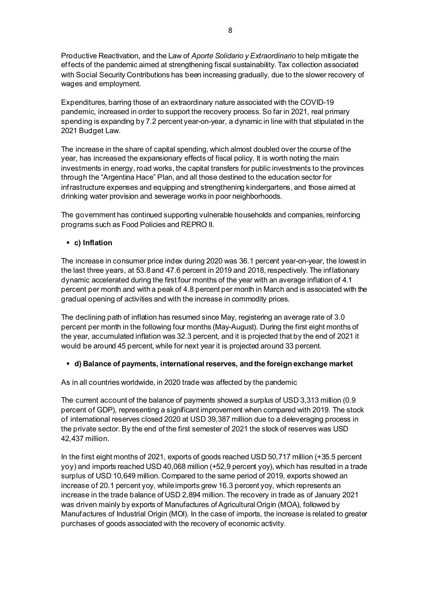Productive Reactivation, and the Law of *Aporte Solidario y Extraordinario* to help mitigate the effects of the pandemic aimed at strengthening fiscal sustainability. Tax collection associated with Social Security Contributions has been increasing gradually, due to the slower recovery of wages and employment.

Expenditures, barring those of an extraordinary nature associated with the COVID-19 pandemic, increased in order to support the recovery process. So far in 2021, real primary spending is expanding by 7.2 percent year-on-year, a dynamic in line with that stipulated in the 2021 Budget Law.

The increase in the share of capital spending, which almost doubled over the course of the year, has increased the expansionary effects of fiscal policy. It is worth noting the main investments in energy, road works, the capital transfers for public investments to the provinces through the "Argentina Hace" Plan, and all those destined to the education sector for infrastructure expenses and equipping and strengthening kindergartens, and those aimed at drinking water provision and sewerage works in poor neighborhoods.

The government has continued supporting vulnerable households and companies, reinforcing programs such as Food Policies and REPRO II.

**c) Inflation**

The increase in consumer price index during 2020 was 36.1 percent year-on-year, the lowest in the last three years, at 53.8 and 47.6 percent in 2019 and 2018, respectively. The inflationary dynamic accelerated during the first four months of the year with an average inflation of 4.1 percent per month and with a peak of 4.8 percent per month in March and is associated with the gradual opening of activities and with the increase in commodity prices.

The declining path of inflation has resumed since May, registering an average rate of 3.0 percent per month in the following four months (May-August). During the first eight months of the year, accumulated inflation was 32.3 percent, and it is projected that by the end of 2021 it would be around 45 percent, while for next year it is projected around 33 percent.

# **d) Balance of payments, international reserves, and the foreign exchange market**

As in all countries worldwide, in 2020 trade was affected by the pandemic

The current account of the balance of payments showed a surplus of USD 3,313 million (0.9 percent of GDP), representing a significant improvement when compared with 2019. The stock of international reserves closed 2020 at USD 39,387 million due to a deleveraging process in the private sector. By the end of the first semester of 2021 the stock of reserves was USD 42,437 million.

In the first eight months of 2021, exports of goods reached USD 50,717 million (+35.5 percent yoy) and imports reached USD 40,068 million (+52,9 percent yoy), which has resulted in a trade surplus of USD 10,649 million. Compared to the same period of 2019, exports showed an increase of 20.1 percent yoy, while imports grew 16.3 percent yoy, which represents an increase in the trade balance of USD 2,894 million. The recovery in trade as of January 2021 was driven mainly by exports of Manufactures of Agricultural Origin (MOA), followed by Manufactures of Industrial Origin (MOI). In the case of imports, the increase is related to greater purchases of goods associated with the recovery of economic activity.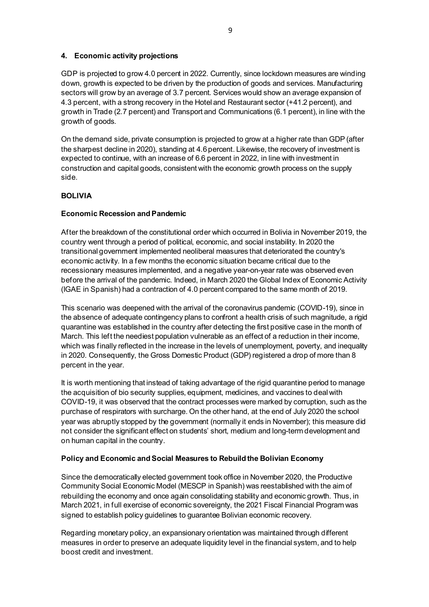#### **4. Economic activity projections**

GDP is projected to grow 4.0 percent in 2022. Currently, since lockdown measures are winding down, growth is expected to be driven by the production of goods and services. Manufacturing sectors will grow by an average of 3.7 percent. Services would show an average expansion of 4.3 percent, with a strong recovery in the Hotel and Restaurant sector (+41.2 percent), and growth in Trade (2.7 percent) and Transport and Communications (6.1 percent), in line with the growth of goods.

On the demand side, private consumption is projected to grow at a higher rate than GDP (after the sharpest decline in 2020), standing at 4.6 percent. Likewise, the recovery of investment is expected to continue, with an increase of 6.6 percent in 2022, in line with investment in construction and capital goods, consistent with the economic growth process on the supply side.

#### **BOLIVIA**

#### **Economic Recession and Pandemic**

After the breakdown of the constitutional order which occurred in Bolivia in November 2019, the country went through a period of political, economic, and social instability. In 2020 the transitional government implemented neoliberal measures that deteriorated the country's economic activity. In a few months the economic situation became critical due to the recessionary measures implemented, and a negative year-on-year rate was observed even before the arrival of the pandemic. Indeed, in March 2020 the Global Index of Economic Activity (IGAE in Spanish) had a contraction of 4.0 percent compared to the same month of 2019.

This scenario was deepened with the arrival of the coronavirus pandemic (COVID-19), since in the absence of adequate contingency plans to confront a health crisis of such magnitude, a rigid quarantine was established in the country after detecting the first positive case in the month of March. This left the neediest population vulnerable as an effect of a reduction in their income, which was finally reflected in the increase in the levels of unemployment, poverty, and inequality in 2020. Consequently, the Gross Domestic Product (GDP) registered a drop of more than 8 percent in the year.

It is worth mentioning that instead of taking advantage of the rigid quarantine period to manage the acquisition of bio security supplies, equipment, medicines, and vaccines to deal with COVID-19, it was observed that the contract processes were marked by corruption, such as the purchase of respirators with surcharge. On the other hand, at the end of July 2020 the school year was abruptly stopped by the government (normally it ends in November); this measure did not consider the significant effect on students' short, medium and long-term development and on human capital in the country.

#### **Policy and Economic and Social Measures to Rebuild the Bolivian Economy**

Since the democratically elected government took office in November 2020, the Productive Community Social Economic Model (MESCP in Spanish) was reestablished with the aim of rebuilding the economy and once again consolidating stability and economic growth. Thus, in March 2021, in full exercise of economic sovereignty, the 2021 Fiscal Financial Program was signed to establish policy guidelines to guarantee Bolivian economic recovery.

Regarding monetary policy, an expansionary orientation was maintained through different measures in order to preserve an adequate liquidity level in the financial system, and to help boost credit and investment.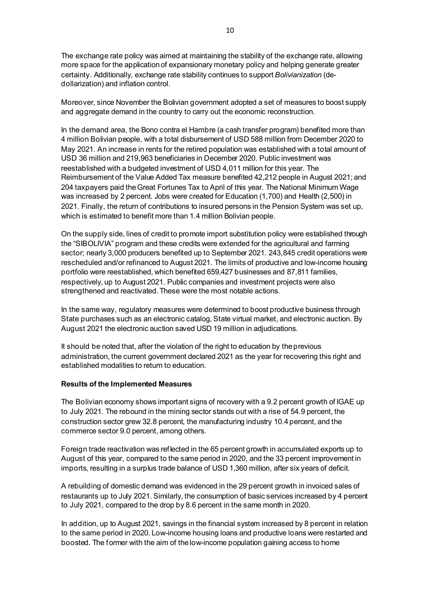The exchange rate policy was aimed at maintaining the stability of the exchange rate, allowing more space for the application of expansionary monetary policy and helping generate greater certainty. Additionally, exchange rate stability continues to support *Bolivianization* (dedollarization) and inflation control.

Moreover, since November the Bolivian government adopted a set of measures to boost supply and aggregate demand in the country to carry out the economic reconstruction.

In the demand area, the Bono contra el Hambre (a cash transfer program) benefited more than 4 million Bolivian people, with a total disbursement of USD 588 million from December 2020 to May 2021. An increase in rents for the retired population was established with a total amount of USD 36 million and 219,963 beneficiaries in December 2020. Public investment was reestablished with a budgeted investment of USD 4,011 million for this year. The Reimbursement of the Value Added Tax measure benefited 42,212 people in August 2021; and 204 taxpayers paid the Great Fortunes Tax to April of this year. The National Minimum Wage was increased by 2 percent. Jobs were created for Education (1,700) and Health (2,500) in 2021. Finally, the return of contributions to insured persons in the Pension System was set up, which is estimated to benefit more than 1.4 million Bolivian people.

On the supply side, lines of credit to promote import substitution policy were established through the "SIBOLIVIA" program and these credits were extended for the agricultural and farming sector; nearly 3,000 producers benefited up to September 2021. 243,845 credit operations were rescheduled and/or refinanced to August 2021. The limits of productive and low-income housing portfolio were reestablished, which benefited 659,427 businesses and 87,811 families, respectively, up to August 2021. Public companies and investment projects were also strengthened and reactivated. These were the most notable actions.

In the same way, regulatory measures were determined to boost productive business through State purchases such as an electronic catalog, State virtual market, and electronic auction. By August 2021 the electronic auction saved USD 19 million in adjudications.

It should be noted that, after the violation of the right to education by the previous administration, the current government declared 2021 as the year for recovering this right and established modalities to return to education.

#### **Results of the Implemented Measures**

The Bolivian economy shows important signs of recovery with a 9.2 percent growth of IGAE up to July 2021. The rebound in the mining sector stands out with a rise of 54.9 percent, the construction sector grew 32.8 percent, the manufacturing industry 10.4 percent, and the commerce sector 9.0 percent, among others.

Foreign trade reactivation was reflected in the 65 percent growth in accumulated exports up to August of this year, compared to the same period in 2020, and the 33 percent improvement in imports, resulting in a surplus trade balance of USD 1,360 million, after six years of deficit.

A rebuilding of domestic demand was evidenced in the 29 percent growth in invoiced sales of restaurants up to July 2021. Similarly, the consumption of basic services increased by 4 percent to July 2021, compared to the drop by 8.6 percent in the same month in 2020.

In addition, up to August 2021, savings in the financial system increased by 8 percent in relation to the same period in 2020. Low-income housing loans and productive loans were restarted and boosted. The former with the aim of the low-income population gaining access to home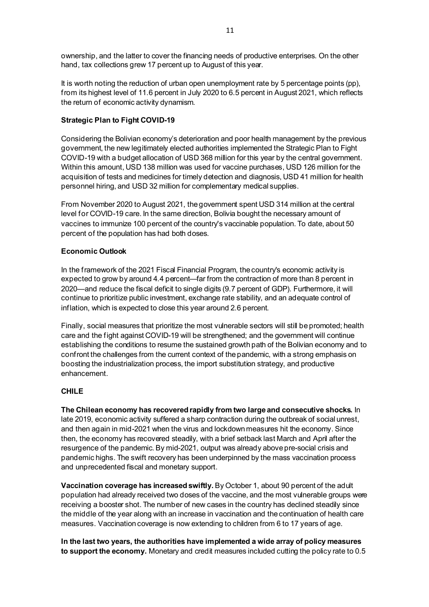ownership, and the latter to cover the financing needs of productive enterprises. On the other hand, tax collections grew 17 percent up to August of this year.

It is worth noting the reduction of urban open unemployment rate by 5 percentage points (pp), from its highest level of 11.6 percent in July 2020 to 6.5 percent in August 2021, which reflects the return of economic activity dynamism.

# **Strategic Plan to Fight COVID-19**

Considering the Bolivian economy's deterioration and poor health management by the previous government, the new legitimately elected authorities implemented the Strategic Plan to Fight COVID-19 with a budget allocation of USD 368 million for this year by the central government. Within this amount, USD 138 million was used for vaccine purchases, USD 126 million for the acquisition of tests and medicines for timely detection and diagnosis, USD 41 million for health personnel hiring, and USD 32 million for complementary medical supplies.

From November 2020 to August 2021, the government spent USD 314 million at the central level for COVID-19 care. In the same direction, Bolivia bought the necessary amount of vaccines to immunize 100 percent of the country's vaccinable population. To date, about 50 percent of the population has had both doses.

# **Economic Outlook**

In the framework of the 2021 Fiscal Financial Program, the country's economic activity is expected to grow by around 4.4 percent—far from the contraction of more than 8 percent in 2020—and reduce the fiscal deficit to single digits (9.7 percent of GDP). Furthermore, it will continue to prioritize public investment, exchange rate stability, and an adequate control of inflation, which is expected to close this year around 2.6 percent.

Finally, social measures that prioritize the most vulnerable sectors will still be promoted; health care and the fight against COVID-19 will be strengthened; and the government will continue establishing the conditions to resume the sustained growth path of the Bolivian economy and to confront the challenges from the current context of the pandemic, with a strong emphasis on boosting the industrialization process, the import substitution strategy, and productive enhancement.

# **CHILE**

**The Chilean economy has recovered rapidly from two large and consecutive shocks.** In late 2019, economic activity suffered a sharp contraction during the outbreak of social unrest, and then again in mid-2021 when the virus and lockdown measures hit the economy. Since then, the economy has recovered steadily, with a brief setback last March and April after the resurgence of the pandemic. By mid-2021, output was already above pre-social crisis and pandemic highs. The swift recovery has been underpinned by the mass vaccination process and unprecedented fiscal and monetary support.

**Vaccination coverage has increased swiftly.** By October 1, about 90 percent of the adult population had already received two doses of the vaccine, and the most vulnerable groups were receiving a booster shot. The number of new cases in the country has declined steadily since the middle of the year along with an increase in vaccination and the continuation of health care measures. Vaccination coverage is now extending to children from 6 to 17 years of age.

**In the last two years, the authorities have implemented a wide array of policy measures to support the economy.** Monetary and credit measures included cutting the policy rate to 0.5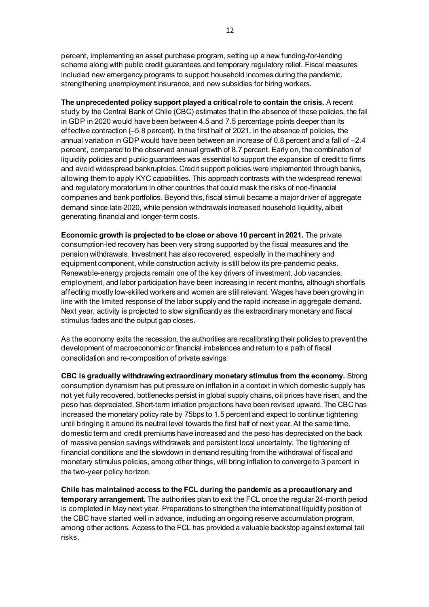percent, implementing an asset purchase program, setting up a new funding-for-lending scheme along with public credit guarantees and temporary regulatory relief. Fiscal measures included new emergency programs to support household incomes during the pandemic, strengthening unemployment insurance, and new subsidies for hiring workers.

**The unprecedented policy support played a critical role to contain the crisis.** A recent study by the Central Bank of Chile (CBC) estimates that in the absence of these policies, the fall in GDP in 2020 would have been between 4.5 and 7.5 percentage points deeper than its effective contraction (–5.8 percent). In the first half of 2021, in the absence of policies, the annual variation in GDP would have been between an increase of 0.8 percent and a fall of –2.4 percent, compared to the observed annual growth of 8.7 percent. Early on, the combination of liquidity policies and public guarantees was essential to support the expansion of credit to firms and avoid widespread bankruptcies. Credit support policies were implemented through banks, allowing them to apply KYC capabilities. This approach contrasts with the widespread renewal and regulatory moratorium in other countries that could mask the risks of non-financial companies and bank portfolios. Beyond this, fiscal stimuli became a major driver of aggregate demand since late-2020, while pension withdrawals increased household liquidity, albeit generating financial and longer-term costs.

**Economic growth is projected to be close or above 10 percent in 2021.** The private consumption-led recovery has been very strong supported by the fiscal measures and the pension withdrawals. Investment has also recovered, especially in the machinery and equipment component, while construction activity is still below its pre-pandemic peaks. Renewable-energy projects remain one of the key drivers of investment. Job vacancies, employment, and labor participation have been increasing in recent months, although shortfalls affecting mostly low-skilled workers and women are still relevant. Wages have been growing in line with the limited response of the labor supply and the rapid increase in aggregate demand. Next year, activity is projected to slow significantly as the extraordinary monetary and fiscal stimulus fades and the output gap closes.

As the economy exits the recession, the authorities are recalibrating their policies to prevent the development of macroeconomic or financial imbalances and return to a path of fiscal consolidation and re-composition of private savings.

**CBC is gradually withdrawing extraordinary monetary stimulus from the economy.** Strong consumption dynamism has put pressure on inflation in a context in which domestic supply has not yet fully recovered, bottlenecks persist in global supply chains, oil prices have risen, and the peso has depreciated. Short-term inflation projections have been revised upward. The CBC has increased the monetary policy rate by 75bps to 1.5 percent and expect to continue tightening until bringing it around its neutral level towards the first half of next year. At the same time, domestic term and credit premiums have increased and the peso has depreciated on the back of massive pension savings withdrawals and persistent local uncertainty. The tightening of financial conditions and the slowdown in demand resulting from the withdrawal of fiscal and monetary stimulus policies, among other things, will bring inflation to converge to 3 percent in the two-year policy horizon.

**Chile has maintained access to the FCL during the pandemic as a precautionary and temporary arrangement.** The authorities plan to exit the FCL once the regular 24-month period is completed in May next year. Preparations to strengthen the international liquidity position of the CBC have started well in advance, including an ongoing reserve accumulation program, among other actions. Access to the FCL has provided a valuable backstop against external tail risks.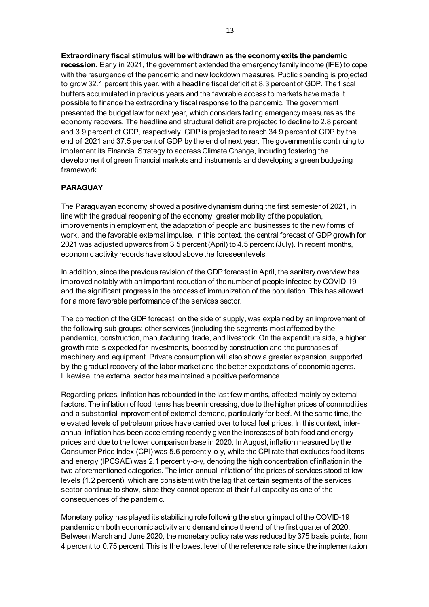**Extraordinary fiscal stimulus will be withdrawn as the economy exits the pandemic recession.** Early in 2021, the government extended the emergency family income (IFE) to cope with the resurgence of the pandemic and new lockdown measures. Public spending is projected to grow 32.1 percent this year, with a headline fiscal deficit at 8.3 percent of GDP. The fiscal buffers accumulated in previous years and the favorable access to markets have made it possible to finance the extraordinary fiscal response to the pandemic. The government presented the budget law for next year, which considers fading emergency measures as the economy recovers. The headline and structural deficit are projected to decline to 2.8 percent and 3.9 percent of GDP, respectively. GDP is projected to reach 34.9 percent of GDP by the end of 2021 and 37.5 percent of GDP by the end of next year. The government is continuing to implement its Financial Strategy to address Climate Change, including fostering the development of green financial markets and instruments and developing a green budgeting framework.

# **PARAGUAY**

The Paraguayan economy showed a positive dynamism during the first semester of 2021, in line with the gradual reopening of the economy, greater mobility of the population, improvements in employment, the adaptation of people and businesses to the new forms of work, and the favorable external impulse. In this context, the central forecast of GDP growth for 2021 was adjusted upwards from 3.5 percent (April) to 4.5 percent (July). In recent months, economic activity records have stood above the foreseen levels.

In addition, since the previous revision of the GDP forecast in April, the sanitary overview has improved notably with an important reduction of the number of people infected by COVID-19 and the significant progress in the process of immunization of the population. This has allowed for a more favorable performance of the services sector.

The correction of the GDP forecast, on the side of supply, was explained by an improvement of the following sub-groups: other services (including the segments most affected by the pandemic), construction, manufacturing, trade, and livestock. On the expenditure side, a higher growth rate is expected for investments, boosted by construction and the purchases of machinery and equipment. Private consumption will also show a greater expansion, supported by the gradual recovery of the labor market and the better expectations of economic agents. Likewise, the external sector has maintained a positive performance.

Regarding prices, inflation has rebounded in the last few months, affected mainly by external factors. The inflation of food items has been increasing, due to the higher prices of commodities and a substantial improvement of external demand, particularly for beef. At the same time, the elevated levels of petroleum prices have carried over to local fuel prices. In this context, interannual inflation has been accelerating recently given the increases of both food and energy prices and due to the lower comparison base in 2020. In August, inflation measured by the Consumer Price Index (CPI) was 5.6 percent y-o-y, while the CPI rate that excludes food items and energy (IPCSAE) was 2.1 percent y-o-y, denoting the high concentration of inflation in the two aforementioned categories. The inter-annual inflation of the prices of services stood at low levels (1.2 percent), which are consistent with the lag that certain segments of the services sector continue to show, since they cannot operate at their full capacity as one of the consequences of the pandemic.

Monetary policy has played its stabilizing role following the strong impact of the COVID-19 pandemic on both economic activity and demand since the end of the first quarter of 2020. Between March and June 2020, the monetary policy rate was reduced by 375 basis points, from 4 percent to 0.75 percent. This is the lowest level of the reference rate since the implementation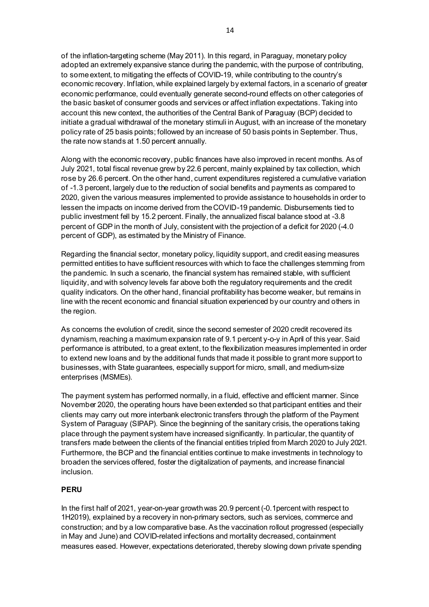of the inflation-targeting scheme (May 2011). In this regard, in Paraguay, monetary policy adopted an extremely expansive stance during the pandemic, with the purpose of contributing, to some extent, to mitigating the effects of COVID-19, while contributing to the country's economic recovery. Inflation, while explained largely by external factors, in a scenario of greater economic performance, could eventually generate second-round effects on other categories of the basic basket of consumer goods and services or affect inflation expectations. Taking into account this new context, the authorities of the Central Bank of Paraguay (BCP) decided to initiate a gradual withdrawal of the monetary stimuli in August, with an increase of the monetary policy rate of 25 basis points; followed by an increase of 50 basis points in September. Thus, the rate now stands at 1.50 percent annually.

Along with the economic recovery, public finances have also improved in recent months. As of July 2021, total fiscal revenue grew by 22.6 percent, mainly explained by tax collection, which rose by 26.6 percent. On the other hand, current expenditures registered a cumulative variation of -1.3 percent, largely due to the reduction of social benefits and payments as compared to 2020, given the various measures implemented to provide assistance to households in order to lessen the impacts on income derived from the COVID-19 pandemic. Disbursements tied to public investment fell by 15.2 percent. Finally, the annualized fiscal balance stood at -3.8 percent of GDP in the month of July, consistent with the projection of a deficit for 2020 (-4.0 percent of GDP), as estimated by the Ministry of Finance.

Regarding the financial sector, monetary policy, liquidity support, and credit easing measures permitted entities to have sufficient resources with which to face the challenges stemming from the pandemic. In such a scenario, the financial system has remained stable, with sufficient liquidity, and with solvency levels far above both the regulatory requirements and the credit quality indicators. On the other hand, financial profitability has become weaker, but remains in line with the recent economic and financial situation experienced by our country and others in the region.

As concerns the evolution of credit, since the second semester of 2020 credit recovered its dynamism, reaching a maximum expansion rate of 9.1 percent y-o-y in April of this year. Said performance is attributed, to a great extent, to the flexibilization measures implemented in order to extend new loans and by the additional funds that made it possible to grant more support to businesses, with State guarantees, especially support for micro, small, and medium-size enterprises (MSMEs).

The payment system has performed normally, in a fluid, effective and efficient manner. Since November 2020, the operating hours have been extended so that participant entities and their clients may carry out more interbank electronic transfers through the platform of the Payment System of Paraguay (SIPAP). Since the beginning of the sanitary crisis, the operations taking place through the payment system have increased significantly. In particular, the quantity of transfers made between the clients of the financial entities tripled from March 2020 to July 2021. Furthermore, the BCP and the financial entities continue to make investments in technology to broaden the services offered, foster the digitalization of payments, and increase financial inclusion.

# **PERU**

In the first half of 2021, year-on-year growth was 20.9 percent (-0.1percent with respect to 1H2019), explained by a recovery in non-primary sectors, such as services, commerce and construction; and by a low comparative base. As the vaccination rollout progressed (especially in May and June) and COVID-related infections and mortality decreased, containment measures eased. However, expectations deteriorated, thereby slowing down private spending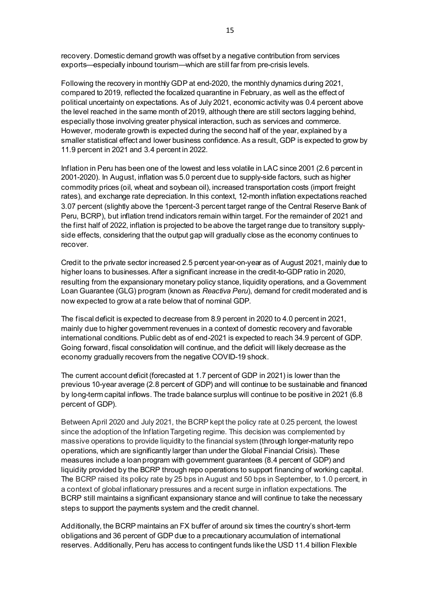recovery. Domestic demand growth was offset by a negative contribution from services exports—especially inbound tourism—which are still far from pre-crisis levels.

Following the recovery in monthly GDP at end-2020, the monthly dynamics during 2021, compared to 2019, reflected the focalized quarantine in February, as well as the effect of political uncertainty on expectations. As of July 2021, economic activity was 0.4 percent above the level reached in the same month of 2019, although there are still sectors lagging behind, especially those involving greater physical interaction, such as services and commerce. However, moderate growth is expected during the second half of the year, explained by a smaller statistical effect and lower business confidence. As a result, GDP is expected to grow by 11.9 percent in 2021 and 3.4 percent in 2022.

Inflation in Peru has been one of the lowest and less volatile in LAC since 2001 (2.6 percent in 2001-2020). In August, inflation was 5.0 percent due to supply-side factors, such as higher commodity prices (oil, wheat and soybean oil), increased transportation costs (import freight rates), and exchange rate depreciation. In this context, 12-month inflation expectations reached 3.07 percent (slightly above the 1percent-3 percent target range of the Central Reserve Bank of Peru, BCRP), but inflation trend indicators remain within target. For the remainder of 2021 and the first half of 2022, inflation is projected to be above the target range due to transitory supplyside effects, considering that the output gap will gradually close as the economy continues to recover.

Credit to the private sector increased 2.5 percent year-on-year as of August 2021, mainly due to higher loans to businesses. After a significant increase in the credit-to-GDP ratio in 2020, resulting from the expansionary monetary policy stance, liquidity operations, and a Government Loan Guarantee (GLG) program (known as *Reactiva Peru*), demand for credit moderated and is now expected to grow at a rate below that of nominal GDP.

The fiscal deficit is expected to decrease from 8.9 percent in 2020 to 4.0 percent in 2021, mainly due to higher government revenues in a context of domestic recovery and favorable international conditions. Public debt as of end-2021 is expected to reach 34.9 percent of GDP. Going forward, fiscal consolidation will continue, and the deficit will likely decrease as the economy gradually recovers from the negative COVID-19 shock.

The current account deficit (forecasted at 1.7 percent of GDP in 2021) is lower than the previous 10-year average (2.8 percent of GDP) and will continue to be sustainable and financed by long-term capital inflows. The trade balance surplus will continue to be positive in 2021 (6.8 percent of GDP).

Between April 2020 and July 2021, the BCRP kept the policy rate at 0.25 percent, the lowest since the adoption of the Inflation Targeting regime. This decision was complemented by massive operations to provide liquidity to the financial system (through longer-maturity repo operations, which are significantly larger than under the Global Financial Crisis). These measures include a loan program with government guarantees (8.4 percent of GDP) and liquidity provided by the BCRP through repo operations to support financing of working capital. The BCRP raised its policy rate by 25 bps in August and 50 bps in September, to 1.0 percent, in a context of global inflationary pressures and a recent surge in inflation expectations. The BCRP still maintains a significant expansionary stance and will continue to take the necessary steps to support the payments system and the credit channel.

Additionally, the BCRP maintains an FX buffer of around six times the country's short-term obligations and 36 percent of GDP due to a precautionary accumulation of international reserves. Additionally, Peru has access to contingent funds like the USD 11.4 billion Flexible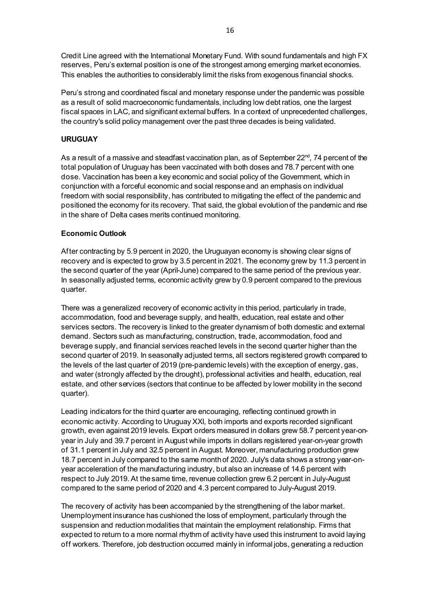Credit Line agreed with the International Monetary Fund. With sound fundamentals and high FX reserves, Peru's external position is one of the strongest among emerging market economies. This enables the authorities to considerably limit the risks from exogenous financial shocks.

Peru's strong and coordinated fiscal and monetary response under the pandemic was possible as a result of solid macroeconomic fundamentals, including low debt ratios, one the largest fiscal spaces in LAC, and significant external buffers. In a context of unprecedented challenges, the country's solid policy management over the past three decades is being validated.

# **URUGUAY**

As a result of a massive and steadfast vaccination plan, as of September  $22^{nd}$ , 74 percent of the total population of Uruguay has been vaccinated with both doses and 78.7 percent with one dose. Vaccination has been a key economic and social policy of the Government, which in conjunction with a forceful economic and social response and an emphasis on individual freedom with social responsibility, has contributed to mitigating the effect of the pandemic and positioned the economy for its recovery. That said, the global evolution of the pandemic and rise in the share of Delta cases merits continued monitoring.

# **Economic Outlook**

After contracting by 5.9 percent in 2020, the Uruguayan economy is showing clear signs of recovery and is expected to grow by 3.5 percent in 2021. The economy grew by 11.3 percent in the second quarter of the year (April-June) compared to the same period of the previous year. In seasonally adjusted terms, economic activity grew by 0.9 percent compared to the previous quarter.

There was a generalized recovery of economic activity in this period, particularly in trade, accommodation, food and beverage supply, and health, education, real estate and other services sectors. The recovery is linked to the greater dynamism of both domestic and external demand. Sectors such as manufacturing, construction, trade, accommodation, food and beverage supply, and financial services reached levels in the second quarter higher than the second quarter of 2019. In seasonally adjusted terms, all sectors registered growth compared to the levels of the last quarter of 2019 (pre-pandemic levels) with the exception of energy, gas, and water (strongly affected by the drought), professional activities and health, education, real estate, and other services (sectors that continue to be affected by lower mobility in the second quarter).

Leading indicators for the third quarter are encouraging, reflecting continued growth in economic activity. According to Uruguay XXI, both imports and exports recorded significant growth, even against 2019 levels. Export orders measured in dollars grew 58.7 percent year-onyear in July and 39.7 percent in August while imports in dollars registered year-on-year growth of 31.1 percent in July and 32.5 percent in August. Moreover, manufacturing production grew 18.7 percent in July compared to the same month of 2020. July's data shows a strong year-onyear acceleration of the manufacturing industry, but also an increase of 14.6 percent with respect to July 2019. At the same time, revenue collection grew 6.2 percent in July-August compared to the same period of 2020 and 4.3 percent compared to July-August 2019.

The recovery of activity has been accompanied by the strengthening of the labor market. Unemployment insurance has cushioned the loss of employment, particularly through the suspension and reduction modalities that maintain the employment relationship. Firms that expected to return to a more normal rhythm of activity have used this instrument to avoid laying off workers. Therefore, job destruction occurred mainly in informal jobs, generating a reduction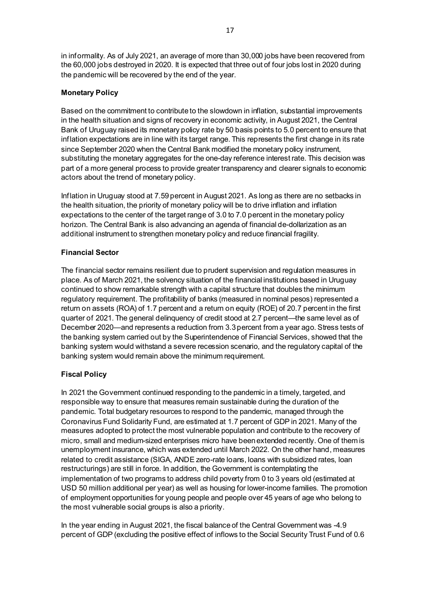in informality. As of July 2021, an average of more than 30,000 jobs have been recovered from the 60,000 jobs destroyed in 2020. It is expected that three out of four jobs lost in 2020 during the pandemic will be recovered by the end of the year.

# **Monetary Policy**

Based on the commitment to contribute to the slowdown in inflation, substantial improvements in the health situation and signs of recovery in economic activity, in August 2021, the Central Bank of Uruguay raised its monetary policy rate by 50 basis points to 5.0 percent to ensure that inflation expectations are in line with its target range. This represents the first change in its rate since September 2020 when the Central Bank modified the monetary policy instrument, substituting the monetary aggregates for the one-day reference interest rate. This decision was part of a more general process to provide greater transparency and clearer signals to economic actors about the trend of monetary policy.

Inflation in Uruguay stood at 7.59 percent in August 2021. As long as there are no setbacks in the health situation, the priority of monetary policy will be to drive inflation and inflation expectations to the center of the target range of 3.0 to 7.0 percent in the monetary policy horizon. The Central Bank is also advancing an agenda of financial de-dollarization as an additional instrument to strengthen monetary policy and reduce financial fragility.

# **Financial Sector**

The financial sector remains resilient due to prudent supervision and regulation measures in place. As of March 2021, the solvency situation of the financial institutions based in Uruguay continued to show remarkable strength with a capital structure that doubles the minimum regulatory requirement. The profitability of banks (measured in nominal pesos) represented a return on assets (ROA) of 1.7 percent and a return on equity (ROE) of 20.7 percent in the first quarter of 2021. The general delinquency of credit stood at 2.7 percent—the same level as of December 2020—and represents a reduction from 3.3 percent from a year ago. Stress tests of the banking system carried out by the Superintendence of Financial Services, showed that the banking system would withstand a severe recession scenario, and the regulatory capital of the banking system would remain above the minimum requirement.

# **Fiscal Policy**

In 2021 the Government continued responding to the pandemic in a timely, targeted, and responsible way to ensure that measures remain sustainable during the duration of the pandemic. Total budgetary resources to respond to the pandemic, managed through the Coronavirus Fund Solidarity Fund, are estimated at 1.7 percent of GDP in 2021. Many of the measures adopted to protect the most vulnerable population and contribute to the recovery of micro, small and medium-sized enterprises micro have been extended recently. One of them is unemployment insurance, which was extended until March 2022. On the other hand, measures related to credit assistance (SIGA, ANDE zero-rate loans, loans with subsidized rates, loan restructurings) are still in force. In addition, the Government is contemplating the implementation of two programs to address child poverty from 0 to 3 years old (estimated at USD 50 million additional per year) as well as housing for lower-income families. The promotion of employment opportunities for young people and people over 45 years of age who belong to the most vulnerable social groups is also a priority.

In the year ending in August 2021, the fiscal balance of the Central Government was -4.9 percent of GDP (excluding the positive effect of inflows to the Social Security Trust Fund of 0.6